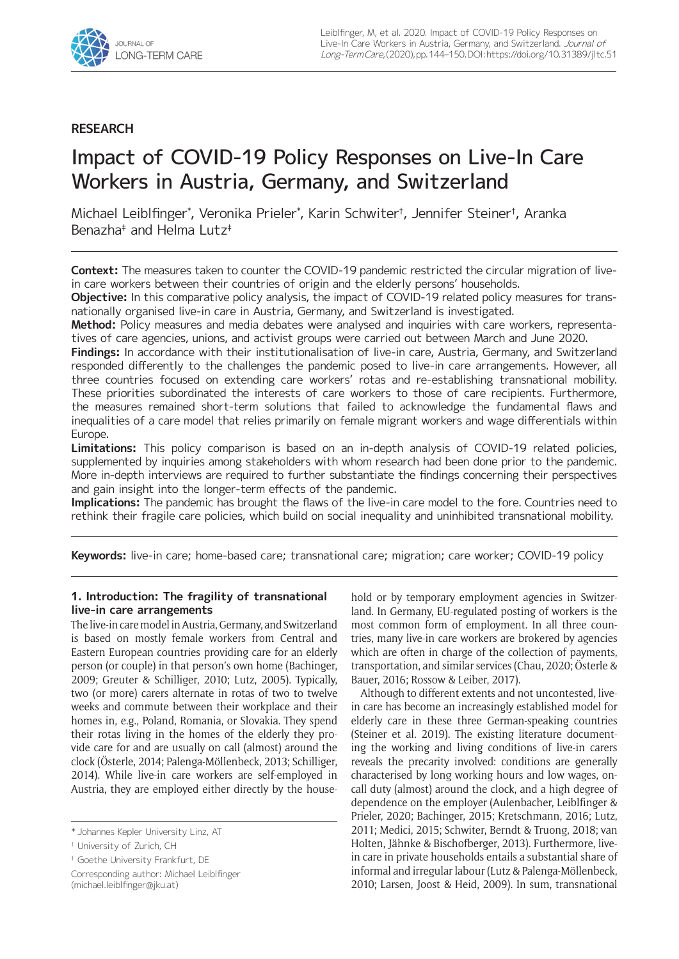

## **RESEARCH**

# Impact of COVID-19 Policy Responses on Live-In Care Workers in Austria, Germany, and Switzerland

Michael Leiblfinger\* , Veronika Prieler\* , Karin Schwiter† , Jennifer Steiner† , Aranka Benazha‡ and Helma Lutz‡

**Context:** The measures taken to counter the COVID-19 pandemic restricted the circular migration of livein care workers between their countries of origin and the elderly persons' households.

**Objective:** In this comparative policy analysis, the impact of COVID-19 related policy measures for transnationally organised live-in care in Austria, Germany, and Switzerland is investigated.

**Method:** Policy measures and media debates were analysed and inquiries with care workers, representatives of care agencies, unions, and activist groups were carried out between March and June 2020.

**Findings:** In accordance with their institutionalisation of live-in care, Austria, Germany, and Switzerland responded differently to the challenges the pandemic posed to live-in care arrangements. However, all three countries focused on extending care workers' rotas and re-establishing transnational mobility. These priorities subordinated the interests of care workers to those of care recipients. Furthermore, the measures remained short-term solutions that failed to acknowledge the fundamental flaws and inequalities of a care model that relies primarily on female migrant workers and wage differentials within Europe.

**Limitations:** This policy comparison is based on an in-depth analysis of COVID-19 related policies, supplemented by inquiries among stakeholders with whom research had been done prior to the pandemic. More in-depth interviews are required to further substantiate the findings concerning their perspectives and gain insight into the longer-term effects of the pandemic.

**Implications:** The pandemic has brought the flaws of the live-in care model to the fore. Countries need to rethink their fragile care policies, which build on social inequality and uninhibited transnational mobility.

**Keywords:** live-in care; home-based care; transnational care; migration; care worker; COVID-19 policy

## **1. Introduction: The fragility of transnational live-in care arrangements**

The live-in care model in Austria, Germany, and Switzerland is based on mostly female workers from Central and Eastern European countries providing care for an elderly person (or couple) in that person's own home (Bachinger, 2009; Greuter & Schilliger, 2010; Lutz, 2005). Typically, two (or more) carers alternate in rotas of two to twelve weeks and commute between their workplace and their homes in, e.g., Poland, Romania, or Slovakia. They spend their rotas living in the homes of the elderly they provide care for and are usually on call (almost) around the clock (Österle, 2014; Palenga-Möllenbeck, 2013; Schilliger, 2014). While live-in care workers are self-employed in Austria, they are employed either directly by the house-

Corresponding author: Michael Leiblfinger [\(michael.leiblfinger@jku.at\)](mailto:michael.leiblfinger@jku.at)

hold or by temporary employment agencies in Switzerland. In Germany, EU-regulated posting of workers is the most common form of employment. In all three countries, many live-in care workers are brokered by agencies which are often in charge of the collection of payments, transportation, and similar services (Chau, 2020; Österle & Bauer, 2016; Rossow & Leiber, 2017).

Although to different extents and not uncontested, livein care has become an increasingly established model for elderly care in these three German-speaking countries (Steiner et al. 2019). The existing literature documenting the working and living conditions of live-in carers reveals the precarity involved: conditions are generally characterised by long working hours and low wages, oncall duty (almost) around the clock, and a high degree of dependence on the employer (Aulenbacher, Leiblfinger & Prieler, 2020; Bachinger, 2015; Kretschmann, 2016; Lutz, 2011; Medici, 2015; Schwiter, Berndt & Truong, 2018; van Holten, Jähnke & Bischofberger, 2013). Furthermore, livein care in private households entails a substantial share of informal and irregular labour (Lutz & Palenga-Möllenbeck, 2010; Larsen, Joost & Heid, 2009). In sum, transnational

<sup>\*</sup> Johannes Kepler University Linz, AT

<sup>†</sup> University of Zurich, CH

<sup>‡</sup> Goethe University Frankfurt, DE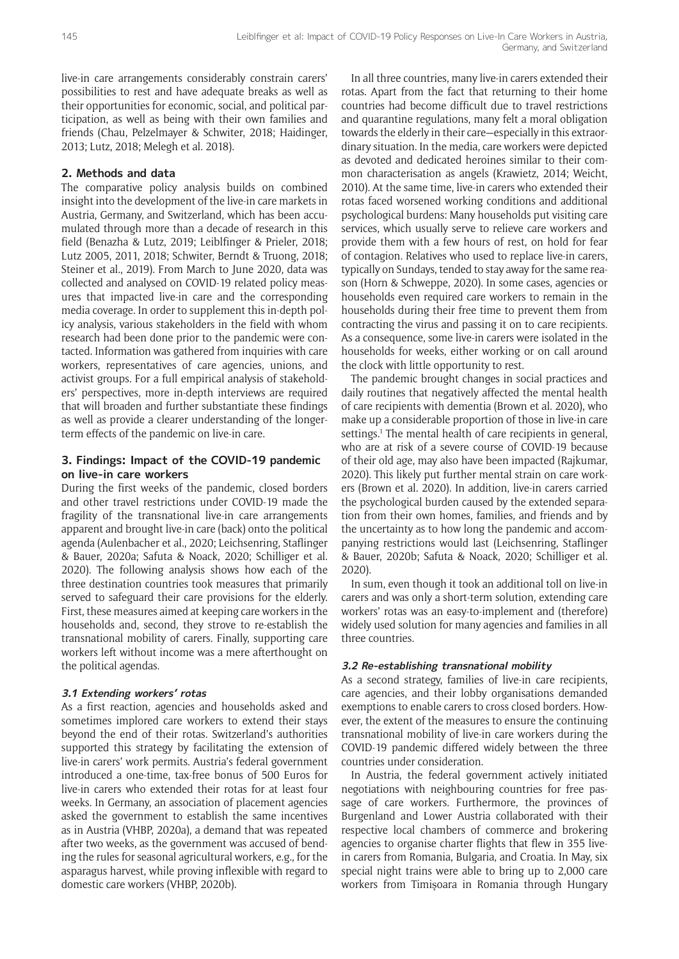live-in care arrangements considerably constrain carers' possibilities to rest and have adequate breaks as well as their opportunities for economic, social, and political participation, as well as being with their own families and friends (Chau, Pelzelmayer & Schwiter, 2018; Haidinger, 2013; Lutz, 2018; Melegh et al. 2018).

## **2. Methods and data**

The comparative policy analysis builds on combined insight into the development of the live-in care markets in Austria, Germany, and Switzerland, which has been accumulated through more than a decade of research in this field (Benazha & Lutz, 2019; Leiblfinger & Prieler, 2018; Lutz 2005, 2011, 2018; Schwiter, Berndt & Truong, 2018; Steiner et al., 2019). From March to June 2020, data was collected and analysed on COVID-19 related policy measures that impacted live-in care and the corresponding media coverage. In order to supplement this in-depth policy analysis, various stakeholders in the field with whom research had been done prior to the pandemic were contacted. Information was gathered from inquiries with care workers, representatives of care agencies, unions, and activist groups. For a full empirical analysis of stakeholders' perspectives, more in-depth interviews are required that will broaden and further substantiate these findings as well as provide a clearer understanding of the longerterm effects of the pandemic on live-in care.

## **3. Findings: Impact of the COVID-19 pandemic on live-in care workers**

During the first weeks of the pandemic, closed borders and other travel restrictions under COVID-19 made the fragility of the transnational live-in care arrangements apparent and brought live-in care (back) onto the political agenda (Aulenbacher et al., 2020; Leichsenring, Staflinger & Bauer, 2020a; Safuta & Noack, 2020; Schilliger et al. 2020). The following analysis shows how each of the three destination countries took measures that primarily served to safeguard their care provisions for the elderly. First, these measures aimed at keeping care workers in the households and, second, they strove to re-establish the transnational mobility of carers. Finally, supporting care workers left without income was a mere afterthought on the political agendas.

## **3.1 Extending workers' rotas**

As a first reaction, agencies and households asked and sometimes implored care workers to extend their stays beyond the end of their rotas. Switzerland's authorities supported this strategy by facilitating the extension of live-in carers' work permits. Austria's federal government introduced a one-time, tax-free bonus of 500 Euros for live-in carers who extended their rotas for at least four weeks. In Germany, an association of placement agencies asked the government to establish the same incentives as in Austria (VHBP, 2020a), a demand that was repeated after two weeks, as the government was accused of bending the rules for seasonal agricultural workers, e.g., for the asparagus harvest, while proving inflexible with regard to domestic care workers (VHBP, 2020b).

In all three countries, many live-in carers extended their rotas. Apart from the fact that returning to their home countries had become difficult due to travel restrictions and quarantine regulations, many felt a moral obligation towards the elderly in their care—especially in this extraordinary situation. In the media, care workers were depicted as devoted and dedicated heroines similar to their common characterisation as angels (Krawietz, 2014; Weicht, 2010). At the same time, live-in carers who extended their rotas faced worsened working conditions and additional psychological burdens: Many households put visiting care services, which usually serve to relieve care workers and provide them with a few hours of rest, on hold for fear of contagion. Relatives who used to replace live-in carers, typically on Sundays, tended to stay away for the same reason (Horn & Schweppe, 2020). In some cases, agencies or households even required care workers to remain in the households during their free time to prevent them from contracting the virus and passing it on to care recipients. As a consequence, some live-in carers were isolated in the households for weeks, either working or on call around the clock with little opportunity to rest.

The pandemic brought changes in social practices and daily routines that negatively affected the mental health of care recipients with dementia (Brown et al. 2020), who make up a considerable proportion of those in live-in care settings.<sup>1</sup> The mental health of care recipients in general, who are at risk of a severe course of COVID-19 because of their old age, may also have been impacted (Rajkumar, 2020). This likely put further mental strain on care workers (Brown et al. 2020). In addition, live-in carers carried the psychological burden caused by the extended separation from their own homes, families, and friends and by the uncertainty as to how long the pandemic and accompanying restrictions would last (Leichsenring, Staflinger & Bauer, 2020b; Safuta & Noack, 2020; Schilliger et al. 2020).

In sum, even though it took an additional toll on live-in carers and was only a short-term solution, extending care workers' rotas was an easy-to-implement and (therefore) widely used solution for many agencies and families in all three countries.

## **3.2 Re-establishing transnational mobility**

As a second strategy, families of live-in care recipients, care agencies, and their lobby organisations demanded exemptions to enable carers to cross closed borders. However, the extent of the measures to ensure the continuing transnational mobility of live-in care workers during the COVID-19 pandemic differed widely between the three countries under consideration.

In Austria, the federal government actively initiated negotiations with neighbouring countries for free passage of care workers. Furthermore, the provinces of Burgenland and Lower Austria collaborated with their respective local chambers of commerce and brokering agencies to organise charter flights that flew in 355 livein carers from Romania, Bulgaria, and Croatia. In May, six special night trains were able to bring up to 2,000 care workers from Timișoara in Romania through Hungary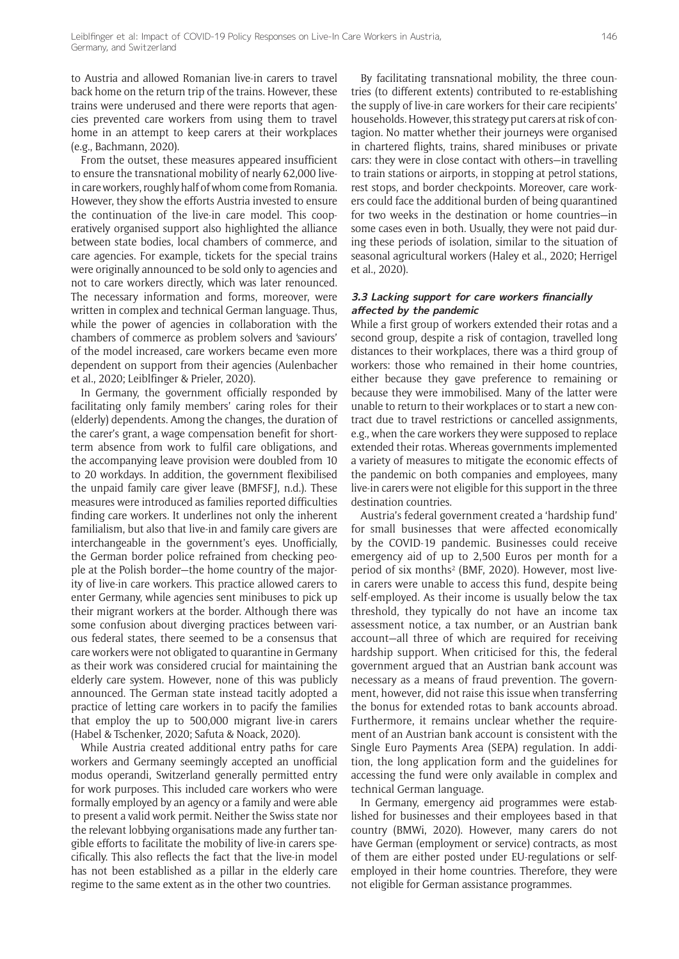to Austria and allowed Romanian live-in carers to travel back home on the return trip of the trains. However, these trains were underused and there were reports that agencies prevented care workers from using them to travel home in an attempt to keep carers at their workplaces (e.g., Bachmann, 2020).

From the outset, these measures appeared insufficient to ensure the transnational mobility of nearly 62,000 livein care workers, roughly half of whom come from Romania. However, they show the efforts Austria invested to ensure the continuation of the live-in care model. This cooperatively organised support also highlighted the alliance between state bodies, local chambers of commerce, and care agencies. For example, tickets for the special trains were originally announced to be sold only to agencies and not to care workers directly, which was later renounced. The necessary information and forms, moreover, were written in complex and technical German language. Thus, while the power of agencies in collaboration with the chambers of commerce as problem solvers and 'saviours' of the model increased, care workers became even more dependent on support from their agencies (Aulenbacher et al., 2020; Leiblfinger & Prieler, 2020).

In Germany, the government officially responded by facilitating only family members' caring roles for their (elderly) dependents. Among the changes, the duration of the carer's grant, a wage compensation benefit for shortterm absence from work to fulfil care obligations, and the accompanying leave provision were doubled from 10 to 20 workdays. In addition, the government flexibilised the unpaid family care giver leave (BMFSFJ, n.d.). These measures were introduced as families reported difficulties finding care workers. It underlines not only the inherent familialism, but also that live-in and family care givers are interchangeable in the government's eyes. Unofficially, the German border police refrained from checking people at the Polish border—the home country of the majority of live-in care workers. This practice allowed carers to enter Germany, while agencies sent minibuses to pick up their migrant workers at the border. Although there was some confusion about diverging practices between various federal states, there seemed to be a consensus that care workers were not obligated to quarantine in Germany as their work was considered crucial for maintaining the elderly care system. However, none of this was publicly announced. The German state instead tacitly adopted a practice of letting care workers in to pacify the families that employ the up to 500,000 migrant live-in carers (Habel & Tschenker, 2020; Safuta & Noack, 2020).

While Austria created additional entry paths for care workers and Germany seemingly accepted an unofficial modus operandi, Switzerland generally permitted entry for work purposes. This included care workers who were formally employed by an agency or a family and were able to present a valid work permit. Neither the Swiss state nor the relevant lobbying organisations made any further tangible efforts to facilitate the mobility of live-in carers specifically. This also reflects the fact that the live-in model has not been established as a pillar in the elderly care regime to the same extent as in the other two countries.

By facilitating transnational mobility, the three countries (to different extents) contributed to re-establishing the supply of live-in care workers for their care recipients' households. However, this strategy put carers at risk of contagion. No matter whether their journeys were organised in chartered flights, trains, shared minibuses or private cars: they were in close contact with others—in travelling to train stations or airports, in stopping at petrol stations, rest stops, and border checkpoints. Moreover, care workers could face the additional burden of being quarantined for two weeks in the destination or home countries—in some cases even in both. Usually, they were not paid during these periods of isolation, similar to the situation of seasonal agricultural workers (Haley et al., 2020; Herrigel et al., 2020).

#### **3.3 Lacking support for care workers financially affected by the pandemic**

While a first group of workers extended their rotas and a second group, despite a risk of contagion, travelled long distances to their workplaces, there was a third group of workers: those who remained in their home countries, either because they gave preference to remaining or because they were immobilised. Many of the latter were unable to return to their workplaces or to start a new contract due to travel restrictions or cancelled assignments, e.g., when the care workers they were supposed to replace extended their rotas. Whereas governments implemented a variety of measures to mitigate the economic effects of the pandemic on both companies and employees, many live-in carers were not eligible for this support in the three destination countries.

Austria's federal government created a 'hardship fund' for small businesses that were affected economically by the COVID-19 pandemic. Businesses could receive emergency aid of up to 2,500 Euros per month for a period of six months<sup>2</sup> (BMF, 2020). However, most livein carers were unable to access this fund, despite being self-employed. As their income is usually below the tax threshold, they typically do not have an income tax assessment notice, a tax number, or an Austrian bank account—all three of which are required for receiving hardship support. When criticised for this, the federal government argued that an Austrian bank account was necessary as a means of fraud prevention. The government, however, did not raise this issue when transferring the bonus for extended rotas to bank accounts abroad. Furthermore, it remains unclear whether the requirement of an Austrian bank account is consistent with the Single Euro Payments Area (SEPA) regulation. In addition, the long application form and the guidelines for accessing the fund were only available in complex and technical German language.

In Germany, emergency aid programmes were established for businesses and their employees based in that country (BMWi, 2020). However, many carers do not have German (employment or service) contracts, as most of them are either posted under EU-regulations or selfemployed in their home countries. Therefore, they were not eligible for German assistance programmes.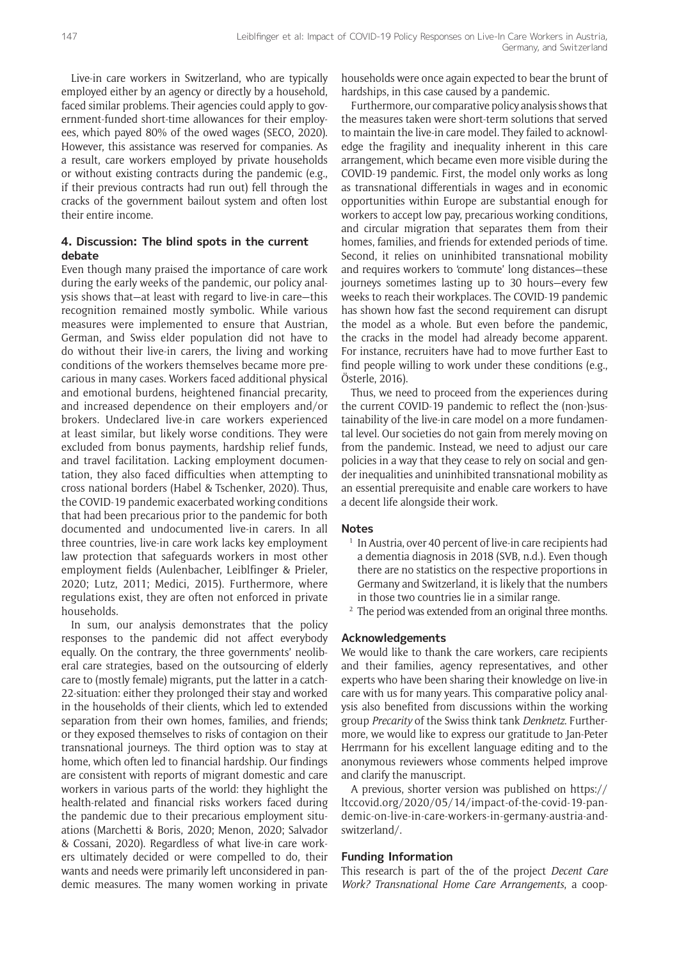Live-in care workers in Switzerland, who are typically employed either by an agency or directly by a household, faced similar problems. Their agencies could apply to government-funded short-time allowances for their employees, which payed 80% of the owed wages (SECO, 2020). However, this assistance was reserved for companies. As a result, care workers employed by private households or without existing contracts during the pandemic (e.g., if their previous contracts had run out) fell through the cracks of the government bailout system and often lost their entire income.

## **4. Discussion: The blind spots in the current debate**

Even though many praised the importance of care work during the early weeks of the pandemic, our policy analysis shows that—at least with regard to live-in care—this recognition remained mostly symbolic. While various measures were implemented to ensure that Austrian, German, and Swiss elder population did not have to do without their live-in carers, the living and working conditions of the workers themselves became more precarious in many cases. Workers faced additional physical and emotional burdens, heightened financial precarity, and increased dependence on their employers and/or brokers. Undeclared live-in care workers experienced at least similar, but likely worse conditions. They were excluded from bonus payments, hardship relief funds, and travel facilitation. Lacking employment documentation, they also faced difficulties when attempting to cross national borders (Habel & Tschenker, 2020). Thus, the COVID-19 pandemic exacerbated working conditions that had been precarious prior to the pandemic for both documented and undocumented live-in carers. In all three countries, live-in care work lacks key employment law protection that safeguards workers in most other employment fields (Aulenbacher, Leiblfinger & Prieler, 2020; Lutz, 2011; Medici, 2015). Furthermore, where regulations exist, they are often not enforced in private households.

In sum, our analysis demonstrates that the policy responses to the pandemic did not affect everybody equally. On the contrary, the three governments' neoliberal care strategies, based on the outsourcing of elderly care to (mostly female) migrants, put the latter in a catch-22-situation: either they prolonged their stay and worked in the households of their clients, which led to extended separation from their own homes, families, and friends; or they exposed themselves to risks of contagion on their transnational journeys. The third option was to stay at home, which often led to financial hardship. Our findings are consistent with reports of migrant domestic and care workers in various parts of the world: they highlight the health-related and financial risks workers faced during the pandemic due to their precarious employment situations (Marchetti & Boris, 2020; Menon, 2020; Salvador & Cossani, 2020). Regardless of what live-in care workers ultimately decided or were compelled to do, their wants and needs were primarily left unconsidered in pandemic measures. The many women working in private

households were once again expected to bear the brunt of hardships, in this case caused by a pandemic.

Furthermore, our comparative policy analysis shows that the measures taken were short-term solutions that served to maintain the live-in care model. They failed to acknowledge the fragility and inequality inherent in this care arrangement, which became even more visible during the COVID-19 pandemic. First, the model only works as long as transnational differentials in wages and in economic opportunities within Europe are substantial enough for workers to accept low pay, precarious working conditions, and circular migration that separates them from their homes, families, and friends for extended periods of time. Second, it relies on uninhibited transnational mobility and requires workers to 'commute' long distances—these journeys sometimes lasting up to 30 hours—every few weeks to reach their workplaces. The COVID-19 pandemic has shown how fast the second requirement can disrupt the model as a whole. But even before the pandemic, the cracks in the model had already become apparent. For instance, recruiters have had to move further East to find people willing to work under these conditions (e.g., Österle, 2016).

Thus, we need to proceed from the experiences during the current COVID-19 pandemic to reflect the (non-)sustainability of the live-in care model on a more fundamental level. Our societies do not gain from merely moving on from the pandemic. Instead, we need to adjust our care policies in a way that they cease to rely on social and gender inequalities and uninhibited transnational mobility as an essential prerequisite and enable care workers to have a decent life alongside their work.

#### **Notes**

- <sup>1</sup> In Austria, over 40 percent of live-in care recipients had a dementia diagnosis in 2018 (SVB, n.d.). Even though there are no statistics on the respective proportions in Germany and Switzerland, it is likely that the numbers in those two countries lie in a similar range.
- <sup>2</sup> The period was extended from an original three months.

#### **Acknowledgements**

We would like to thank the care workers, care recipients and their families, agency representatives, and other experts who have been sharing their knowledge on live-in care with us for many years. This comparative policy analysis also benefited from discussions within the working group *Precarity* of the Swiss think tank *Denknetz*. Furthermore, we would like to express our gratitude to Jan-Peter Herrmann for his excellent language editing and to the anonymous reviewers whose comments helped improve and clarify the manuscript.

A previous, shorter version was published on [https://](https://ltccovid.org/2020/05/14/impact-of-the-covid-19-pandemic-on-live-in-care-workers-in-germany-austria-and-switzerland/) [ltccovid.org/2020/05/14/impact-of-the-covid-19-pan](https://ltccovid.org/2020/05/14/impact-of-the-covid-19-pandemic-on-live-in-care-workers-in-germany-austria-and-switzerland/)[demic-on-live-in-care-workers-in-germany-austria-and](https://ltccovid.org/2020/05/14/impact-of-the-covid-19-pandemic-on-live-in-care-workers-in-germany-austria-and-switzerland/)[switzerland/](https://ltccovid.org/2020/05/14/impact-of-the-covid-19-pandemic-on-live-in-care-workers-in-germany-austria-and-switzerland/).

#### **Funding Information**

This research is part of the of the project *Decent Care Work? Transnational Home Care Arrangements*, a coop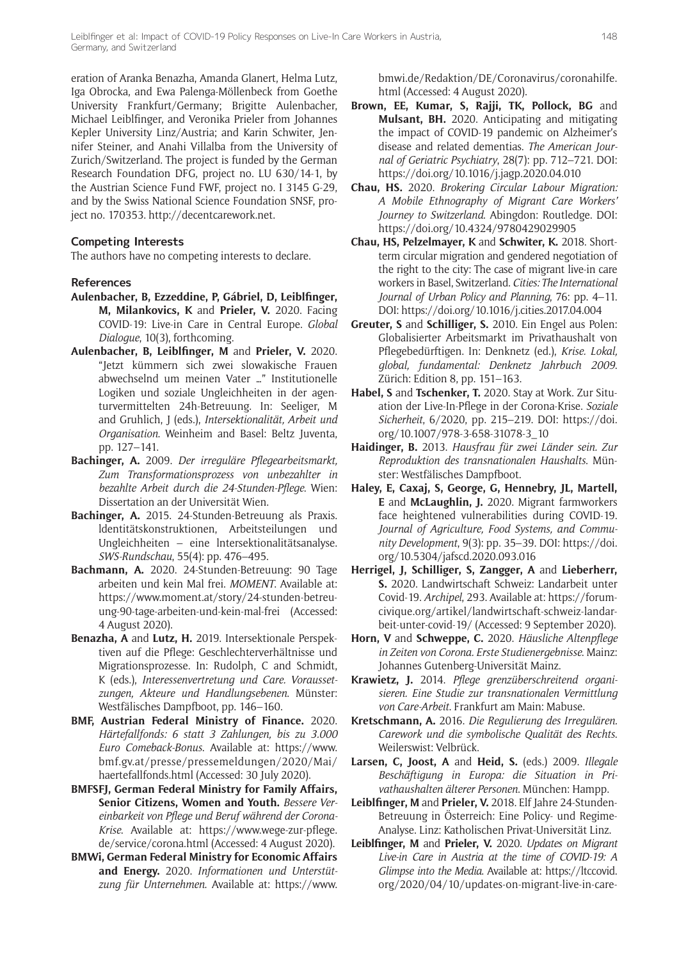eration of Aranka Benazha, Amanda Glanert, Helma Lutz, Iga Obrocka, and Ewa Palenga-Möllenbeck from Goethe University Frankfurt/Germany; Brigitte Aulenbacher, Michael Leiblfinger, and Veronika Prieler from Johannes Kepler University Linz/Austria; and Karin Schwiter, Jennifer Steiner, and Anahi Villalba from the University of Zurich/Switzerland. The project is funded by the German Research Foundation DFG, project no. LU 630/14-1, by the Austrian Science Fund FWF, project no. I 3145 G-29, and by the Swiss National Science Foundation SNSF, project no. 170353.<http://decentcarework.net>.

## **Competing Interests**

The authors have no competing interests to declare.

#### **References**

- **Aulenbacher, B, Ezzeddine, P, Gábriel, D, Leiblfinger, M, Milankovics, K** and **Prieler, V.** 2020. Facing COVID-19: Live-in Care in Central Europe. *Global Dialogue*, 10(3), forthcoming.
- **Aulenbacher, B, Leiblfinger, M** and **Prieler, V.** 2020. "Jetzt kümmern sich zwei slowakische Frauen abwechselnd um meinen Vater …" Institutionelle Logiken und soziale Ungleichheiten in der agenturvermittelten 24h-Betreuung. In: Seeliger, M and Gruhlich, J (eds.), *Intersektionalität, Arbeit und Organisation*. Weinheim and Basel: Beltz Juventa, pp. 127–141.
- **Bachinger, A.** 2009. *Der irreguläre Pflegearbeitsmarkt, Zum Transformationsprozess von unbezahlter in bezahlte Arbeit durch die 24-Stunden-Pflege*. Wien: Dissertation an der Universität Wien.
- **Bachinger, A.** 2015. 24-Stunden-Betreuung als Praxis. ldentitätskonstruktionen, Arbeitsteilungen und Ungleichheiten – eine lntersektionalitätsanalyse. *SWS-Rundschau*, 55(4): pp. 476–495.
- **Bachmann, A.** 2020. 24-Stunden-Betreuung: 90 Tage arbeiten und kein Mal frei. *MOMENT*. Available at: [https://www.moment.at/story/24-stunden-betreu](https://www.moment.at/story/24-stunden-betreuung-90-tage-arbeiten-und-kein-mal-frei)[ung-90-tage-arbeiten-und-kein-mal-frei](https://www.moment.at/story/24-stunden-betreuung-90-tage-arbeiten-und-kein-mal-frei) (Accessed: 4 August 2020).
- **Benazha, A** and **Lutz, H.** 2019. Intersektionale Perspektiven auf die Pflege: Geschlechterverhältnisse und Migrationsprozesse. In: Rudolph, C and Schmidt, K (eds.), *Interessenvertretung und Care. Voraussetzungen, Akteure und Handlungsebenen*. Münster: Westfälisches Dampfboot, pp. 146–160.
- **BMF, Austrian Federal Ministry of Finance.** 2020. *Härtefallfonds: 6 statt 3 Zahlungen, bis zu 3.000 Euro Comeback-Bonus*. Available at: [https://www.](https://www.bmf.gv.at/presse/pressemeldungen/2020/Mai/haertefallfonds.html) [bmf.gv.at/presse/pressemeldungen/2020/Mai/](https://www.bmf.gv.at/presse/pressemeldungen/2020/Mai/haertefallfonds.html) [haertefallfonds.html](https://www.bmf.gv.at/presse/pressemeldungen/2020/Mai/haertefallfonds.html) (Accessed: 30 July 2020).
- **BMFSFJ, German Federal Ministry for Family Affairs, Senior Citizens, Women and Youth.** *Bessere Vereinbarkeit von Pflege und Beruf während der Corona-Krise*. Available at: [https://www.wege-zur-pflege.](https://www.wege-zur-pflege.de/service/corona.html) [de/service/corona.html](https://www.wege-zur-pflege.de/service/corona.html) (Accessed: 4 August 2020).
- **BMWi, German Federal Ministry for Economic Affairs and Energy.** 2020. *Informationen und Unterstützung für Unternehmen*. Available at: [https://www.](https://www.bmwi.de/Redaktion/DE/Coronavirus/coronahilfe.html)

[bmwi.de/Redaktion/DE/Coronavirus/coronahilfe.](https://www.bmwi.de/Redaktion/DE/Coronavirus/coronahilfe.html) [html](https://www.bmwi.de/Redaktion/DE/Coronavirus/coronahilfe.html) (Accessed: 4 August 2020).

- **Brown, EE, Kumar, S, Rajji, TK, Pollock, BG** and **Mulsant, BH.** 2020. Anticipating and mitigating the impact of COVID-19 pandemic on Alzheimer's disease and related dementias. *The American Journal of Geriatric Psychiatry*, 28(7): pp. 712–721. DOI: <https://doi.org/10.1016/j.jagp.2020.04.010>
- **Chau, HS.** 2020. *Brokering Circular Labour Migration: A Mobile Ethnography of Migrant Care Workers' Journey to Switzerland*. Abingdon: Routledge. DOI: <https://doi.org/10.4324/9780429029905>
- **Chau, HS, Pelzelmayer, K** and **Schwiter, K.** 2018. Shortterm circular migration and gendered negotiation of the right to the city: The case of migrant live-in care workers in Basel, Switzerland. *Cities: The International Journal of Urban Policy and Planning*, 76: pp. 4–11. DOI:<https://doi.org/10.1016/j.cities.2017.04.004>
- **Greuter, S** and **Schilliger, S.** 2010. Ein Engel aus Polen: Globalisierter Arbeitsmarkt im Privathaushalt von Pflegebedürftigen. In: Denknetz (ed.), *Krise. Lokal, global, fundamental: Denknetz Jahrbuch 2009*. Zürich: Edition 8, pp. 151–163.
- **Habel, S** and **Tschenker, T.** 2020. Stay at Work. Zur Situation der Live-In-Pflege in der Corona-Krise. *Soziale Sicherheit*, 6/2020, pp. 215–219. DOI: [https://doi.](https://doi.org/10.1007/978-3-658-31078-3_10) [org/10.1007/978-3-658-31078-3\\_10](https://doi.org/10.1007/978-3-658-31078-3_10)
- **Haidinger, B.** 2013. *Hausfrau für zwei Länder sein. Zur Reproduktion des transnationalen Haushalts*. Münster: Westfälisches Dampfboot.
- **Haley, E, Caxaj, S, George, G, Hennebry, JL, Martell, E** and **McLaughlin, J.** 2020. Migrant farmworkers face heightened vulnerabilities during COVID-19. *Journal of Agriculture, Food Systems, and Community Development*, 9(3): pp. 35–39. DOI: [https://doi.](https://doi.org/10.5304/jafscd.2020.093.016) [org/10.5304/jafscd.2020.093.016](https://doi.org/10.5304/jafscd.2020.093.016)
- **Herrigel, J, Schilliger, S, Zangger, A** and **Lieberherr, S.** 2020. Landwirtschaft Schweiz: Landarbeit unter Covid-19. *Archipel*, 293. Available at: [https://forum](https://forumcivique.org/artikel/landwirtschaft-schweiz-landarbeit-unter-covid-19/)[civique.org/artikel/landwirtschaft-schweiz-landar](https://forumcivique.org/artikel/landwirtschaft-schweiz-landarbeit-unter-covid-19/)[beit-unter-covid-19/](https://forumcivique.org/artikel/landwirtschaft-schweiz-landarbeit-unter-covid-19/) (Accessed: 9 September 2020).
- **Horn, V** and **Schweppe, C.** 2020. *Häusliche Altenpflege in Zeiten von Corona. Erste Studienergebnisse*. Mainz: Johannes Gutenberg-Universität Mainz.
- **Krawietz, J.** 2014. *Pflege grenzüberschreitend organisieren. Eine Studie zur transnationalen Vermittlung von Care-Arbeit*. Frankfurt am Main: Mabuse.
- **Kretschmann, A.** 2016. *Die Regulierung des Irregulären. Carework und die symbolische Qualität des Rechts*. Weilerswist: Velbrück.
- **Larsen, C, Joost, A** and **Heid, S.** (eds.) 2009. *Illegale Beschäftigung in Europa: die Situation in Privathaushalten älterer Personen*. München: Hampp.
- **Leiblfinger, M** and **Prieler, V.** 2018. Elf Jahre 24-Stunden-Betreuung in Österreich: Eine Policy- und Regime-Analyse. Linz: Katholischen Privat-Universität Linz.
- **Leiblfinger, M** and **Prieler, V.** 2020. *Updates on Migrant Live-in Care in Austria at the time of COVID-19: A Glimpse into the Media*. Available at: [https://ltccovid.](https://ltccovid.org/2020/04/10/updates-on-migrant-live-in-care-in-austria-at-the-time-of-covid-19-a-glimpse-into-the-media1/) [org/2020/04/10/updates-on-migrant-live-in-care-](https://ltccovid.org/2020/04/10/updates-on-migrant-live-in-care-in-austria-at-the-time-of-covid-19-a-glimpse-into-the-media1/)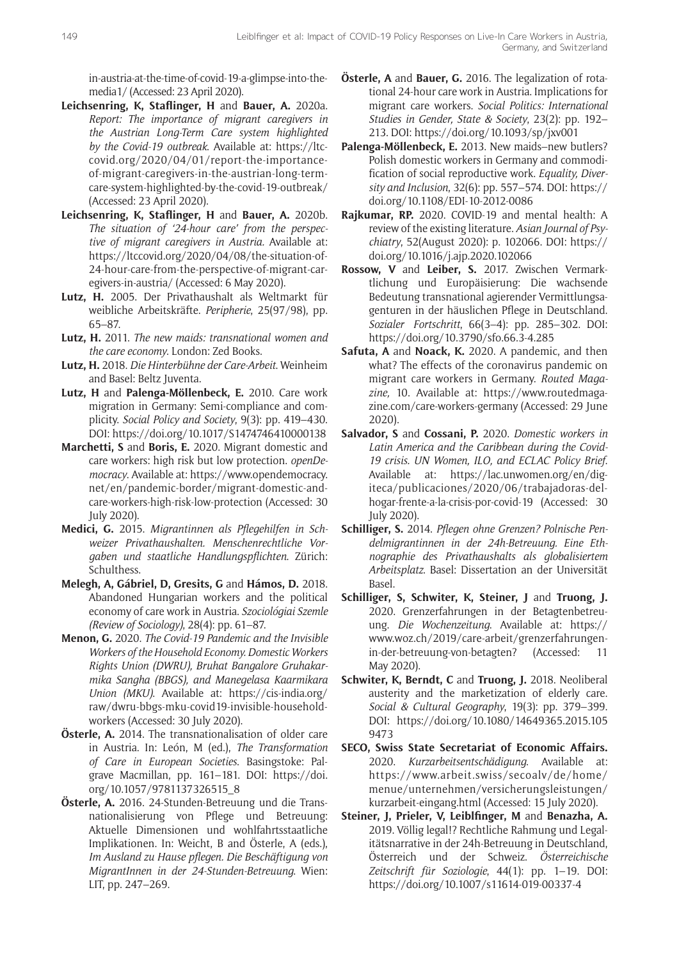[in-austria-at-the-time-of-covid-19-a-glimpse-into-the](https://ltccovid.org/2020/04/10/updates-on-migrant-live-in-care-in-austria-at-the-time-of-covid-19-a-glimpse-into-the-media1/)[media1/](https://ltccovid.org/2020/04/10/updates-on-migrant-live-in-care-in-austria-at-the-time-of-covid-19-a-glimpse-into-the-media1/) (Accessed: 23 April 2020).

- **Leichsenring, K, Staflinger, H** and **Bauer, A.** 2020a. *Report: The importance of migrant caregivers in the Austrian Long-Term Care system highlighted by the Covid-19 outbreak*. Available at: [https://ltc](https://ltccovid.org/2020/04/01/report-the-importance-of-migrant-caregivers-in-the-austrian-long-term-care-system-highlighted-by-the-covid-19-outbreak/ )[covid.org/2020/04/01/report-the-importance](https://ltccovid.org/2020/04/01/report-the-importance-of-migrant-caregivers-in-the-austrian-long-term-care-system-highlighted-by-the-covid-19-outbreak/ )[of-migrant-caregivers-in-the-austrian-long-term](https://ltccovid.org/2020/04/01/report-the-importance-of-migrant-caregivers-in-the-austrian-long-term-care-system-highlighted-by-the-covid-19-outbreak/ )[care-system-highlighted-by-the-covid-19-outbreak/](https://ltccovid.org/2020/04/01/report-the-importance-of-migrant-caregivers-in-the-austrian-long-term-care-system-highlighted-by-the-covid-19-outbreak/ ) (Accessed: 23 April 2020).
- **Leichsenring, K, Staflinger, H** and **Bauer, A.** 2020b. *The situation of '24-hour care' from the perspective of migrant caregivers in Austria.* Available at: [https://ltccovid.org/2020/04/08/the-situation-of-](https://ltccovid.org/2020/04/08/the-situation-of-24-hour-care-from-the-perspective-of-migrant-caregivers-in-austria/)[24-hour-care-from-the-perspective-of-migrant-car](https://ltccovid.org/2020/04/08/the-situation-of-24-hour-care-from-the-perspective-of-migrant-caregivers-in-austria/)[egivers-in-austria/](https://ltccovid.org/2020/04/08/the-situation-of-24-hour-care-from-the-perspective-of-migrant-caregivers-in-austria/) (Accessed: 6 May 2020).
- **Lutz, H.** 2005. Der Privathaushalt als Weltmarkt für weibliche Arbeitskräfte. *Peripherie*, 25(97/98), pp. 65–87.
- **Lutz, H.** 2011. *The new maids: transnational women and the care economy*. London: Zed Books.
- **Lutz, H.** 2018. *Die Hinterbühne der Care-Arbeit*. Weinheim and Basel: Beltz Juventa.
- **Lutz, H** and **Palenga-Möllenbeck, E.** 2010. Care work migration in Germany: Semi-compliance and complicity. *Social Policy and Society*, 9(3): pp. 419–430. DOI: <https://doi.org/10.1017/S1474746410000138>
- **Marchetti, S** and **Boris, E.** 2020. Migrant domestic and care workers: high risk but low protection. *openDemocracy*. Available at: [https://www.opendemocracy.](https://www.opendemocracy.net/en/pandemic-border/migrant-domestic-and-care-workers-high-risk-low-protection) [net/en/pandemic-border/migrant-domestic-and](https://www.opendemocracy.net/en/pandemic-border/migrant-domestic-and-care-workers-high-risk-low-protection)[care-workers-high-risk-low-protection](https://www.opendemocracy.net/en/pandemic-border/migrant-domestic-and-care-workers-high-risk-low-protection) (Accessed: 30 July 2020).
- **Medici, G.** 2015. *Migrantinnen als Pflegehilfen in Schweizer Privathaushalten. Menschenrechtliche Vorgaben und staatliche Handlungspflichten*. Zürich: Schulthess.
- **Melegh, A, Gábriel, D, Gresits, G** and **Hámos, D.** 2018. Abandoned Hungarian workers and the political economy of care work in Austria. *Szociológiai Szemle (Review of Sociology)*, 28(4): pp. 61–87.
- **Menon, G.** 2020. *The Covid-19 Pandemic and the Invisible Workers of the Household Economy. Domestic Workers Rights Union (DWRU), Bruhat Bangalore Gruhakarmika Sangha (BBGS), and Manegelasa Kaarmikara Union (MKU)*. Available at: [https://cis-india.org/](https://cis-india.org/raw/dwru-bbgs-mku-covid19-invisible-household-workers) [raw/dwru-bbgs-mku-covid19-invisible-household](https://cis-india.org/raw/dwru-bbgs-mku-covid19-invisible-household-workers)[workers](https://cis-india.org/raw/dwru-bbgs-mku-covid19-invisible-household-workers) (Accessed: 30 July 2020).
- **Österle, A.** 2014. The transnationalisation of older care in Austria. In: León, M (ed.), *The Transformation of Care in European Societies*. Basingstoke: Palgrave Macmillan, pp. 161–181. DOI: [https://doi.](https://doi.org/10.1057/9781137326515_8) [org/10.1057/9781137326515\\_8](https://doi.org/10.1057/9781137326515_8)
- **Österle, A.** 2016. 24-Stunden-Betreuung und die Transnationalisierung von Pflege und Betreuung: Aktuelle Dimensionen und wohlfahrtsstaatliche Implikationen. In: Weicht, B and Österle, A (eds.), *Im Ausland zu Hause pflegen. Die Beschäftigung von MigrantInnen in der 24-Stunden-Betreuung*. Wien: LIT, pp. 247–269.
- **Österle, A** and **Bauer, G.** 2016. The legalization of rotational 24-hour care work in Austria. Implications for migrant care workers. *Social Politics: International Studies in Gender, State & Society*, 23(2): pp. 192– 213. DOI:<https://doi.org/10.1093/sp/jxv001>
- **Palenga-Möllenbeck, E.** 2013. New maids–new butlers? Polish domestic workers in Germany and commodification of social reproductive work. *Equality, Diversity and Inclusion*, 32(6): pp. 557–574. DOI: [https://](https://doi.org/10.1108/EDI-10-2012-0086) [doi.org/10.1108/EDI-10-2012-0086](https://doi.org/10.1108/EDI-10-2012-0086)
- **Rajkumar, RP.** 2020. COVID-19 and mental health: A review of the existing literature. *Asian Journal of Psychiatry*, 52(August 2020): p. 102066. DOI: [https://](https://doi.org/10.1016/j.ajp.2020.102066) [doi.org/10.1016/j.ajp.2020.102066](https://doi.org/10.1016/j.ajp.2020.102066)
- **Rossow, V** and **Leiber, S.** 2017. Zwischen Vermarktlichung und Europäisierung: Die wachsende Bedeutung transnational agierender Vermittlungsagenturen in der häuslichen Pflege in Deutschland. *Sozialer Fortschritt*, 66(3–4): pp. 285–302. DOI: <https://doi.org/10.3790/sfo.66.3-4.285>
- **Safuta, A** and **Noack, K.** 2020. A pandemic, and then what? The effects of the coronavirus pandemic on migrant care workers in Germany. *Routed Magazine,* 10. Available at: [https://www.routedmaga](https://www.routedmagazine.com/care-workers-germany)[zine.com/care-workers-germany](https://www.routedmagazine.com/care-workers-germany) (Accessed: 29 June 2020).
- **Salvador, S** and **Cossani, P.** 2020. *Domestic workers in Latin America and the Caribbean during the Covid-19 crisis. UN Women, ILO, and ECLAC Policy Brief*. Available at: [https://lac.unwomen.org/en/dig](https://lac.unwomen.org/en/digiteca/publicaciones/2020/06/trabajadoras-del-hogar-frente-a-la-crisis-por-covid-19)[iteca/publicaciones/2020/06/trabajadoras-del](https://lac.unwomen.org/en/digiteca/publicaciones/2020/06/trabajadoras-del-hogar-frente-a-la-crisis-por-covid-19)[hogar-frente-a-la-crisis-por-covid-19](https://lac.unwomen.org/en/digiteca/publicaciones/2020/06/trabajadoras-del-hogar-frente-a-la-crisis-por-covid-19) (Accessed: 30 July 2020).
- **Schilliger, S.** 2014. *Pflegen ohne Grenzen? Polnische Pendelmigrantinnen in der 24h-Betreuung. Eine Ethnographie des Privathaushalts als globalisiertem Arbeitsplatz*. Basel: Dissertation an der Universität Basel.
- **Schilliger, S, Schwiter, K, Steiner, J** and **Truong, J.** 2020. Grenzerfahrungen in der Betagtenbetreuung. *Die Wochenzeitung*. Available at: [https://](https://www.woz.ch/2019/care-arbeit/grenzerfahrungen-in-der-betreuung-von-betagten?) [www.woz.ch/2019/care-arbeit/grenzerfahrungen](https://www.woz.ch/2019/care-arbeit/grenzerfahrungen-in-der-betreuung-von-betagten?)[in-der-betreuung-von-betagten?](https://www.woz.ch/2019/care-arbeit/grenzerfahrungen-in-der-betreuung-von-betagten?) (Accessed: 11 May 2020).
- **Schwiter, K, Berndt, C** and **Truong, J.** 2018. Neoliberal austerity and the marketization of elderly care. *Social & Cultural Geography*, 19(3): pp. 379–399. DOI: [https://doi.org/10.1080/14649365.2015.105](https://doi.org/10.1080/14649365.2015.1059473) [9473](https://doi.org/10.1080/14649365.2015.1059473)
- **SECO, Swiss State Secretariat of Economic Affairs.** 2020. *Kurzarbeitsentschädigung*. Available at: [https://www.arbeit.swiss/secoalv/de/home/](https://www.arbeit.swiss/secoalv/de/home/menue/unternehmen/versicherungsleistungen/kurzarbeit-eingang.html) [menue/unternehmen/versicherungsleistungen/](https://www.arbeit.swiss/secoalv/de/home/menue/unternehmen/versicherungsleistungen/kurzarbeit-eingang.html) [kurzarbeit-eingang.html](https://www.arbeit.swiss/secoalv/de/home/menue/unternehmen/versicherungsleistungen/kurzarbeit-eingang.html) (Accessed: 15 July 2020).
- **Steiner, J, Prieler, V, Leiblfinger, M** and **Benazha, A.**  2019. Völlig legal!? Rechtliche Rahmung und Legalitätsnarrative in der 24h-Betreuung in Deutschland, Österreich und der Schweiz. *Österreichische Zeitschrift für Soziologie*, 44(1): pp. 1–19. DOI: <https://doi.org/10.1007/s11614-019-00337-4>